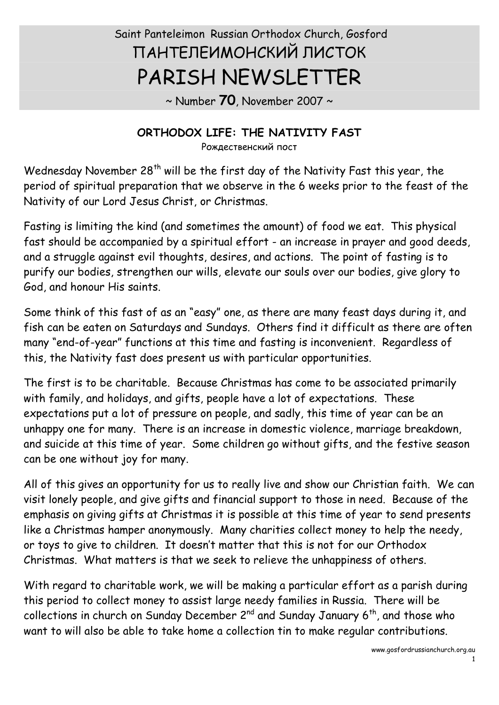# Saint Panteleimon Russian Orthodox Church, Gosford ПАНТЕЛЕИМОНСКИЙ ЛИСТОК PARISH NEWSLETTER

~ Number **70**, November 2007 ~

#### **ORTHODOX LIFE: THE NATIVITY FAST**

Рождественский пост

Wednesday November  $28<sup>th</sup>$  will be the first day of the Nativity Fast this year, the period of spiritual preparation that we observe in the 6 weeks prior to the feast of the Nativity of our Lord Jesus Christ, or Christmas.

Fasting is limiting the kind (and sometimes the amount) of food we eat. This physical fast should be accompanied by a spiritual effort - an increase in prayer and good deeds, and a struggle against evil thoughts, desires, and actions. The point of fasting is to purify our bodies, strengthen our wills, elevate our souls over our bodies, give glory to God, and honour His saints.

Some think of this fast of as an "easy" one, as there are many feast days during it, and fish can be eaten on Saturdays and Sundays. Others find it difficult as there are often many "end-of-year" functions at this time and fasting is inconvenient. Regardless of this, the Nativity fast does present us with particular opportunities.

The first is to be charitable. Because Christmas has come to be associated primarily with family, and holidays, and gifts, people have a lot of expectations. These expectations put a lot of pressure on people, and sadly, this time of year can be an unhappy one for many. There is an increase in domestic violence, marriage breakdown, and suicide at this time of year. Some children go without gifts, and the festive season can be one without joy for many.

All of this gives an opportunity for us to really live and show our Christian faith. We can visit lonely people, and give gifts and financial support to those in need. Because of the emphasis on giving gifts at Christmas it is possible at this time of year to send presents like a Christmas hamper anonymously. Many charities collect money to help the needy, or toys to give to children. It doesn't matter that this is not for our Orthodox Christmas. What matters is that we seek to relieve the unhappiness of others.

With regard to charitable work, we will be making a particular effort as a parish during this period to collect money to assist large needy families in Russia. There will be collections in church on Sunday December 2<sup>nd</sup> and Sunday January 6<sup>th</sup>, and those who want to will also be able to take home a collection tin to make regular contributions.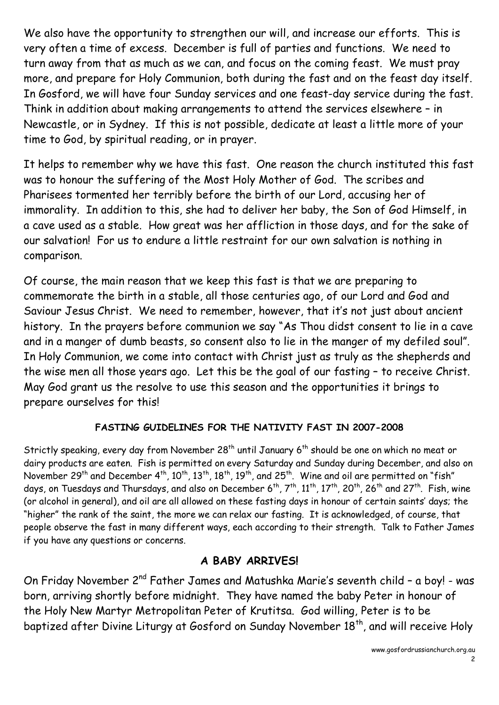We also have the opportunity to strengthen our will, and increase our efforts. This is very often a time of excess. December is full of parties and functions. We need to turn away from that as much as we can, and focus on the coming feast. We must pray more, and prepare for Holy Communion, both during the fast and on the feast day itself. In Gosford, we will have four Sunday services and one feast-day service during the fast. Think in addition about making arrangements to attend the services elsewhere – in Newcastle, or in Sydney. If this is not possible, dedicate at least a little more of your time to God, by spiritual reading, or in prayer.

It helps to remember why we have this fast. One reason the church instituted this fast was to honour the suffering of the Most Holy Mother of God. The scribes and Pharisees tormented her terribly before the birth of our Lord, accusing her of immorality. In addition to this, she had to deliver her baby, the Son of God Himself, in a cave used as a stable. How great was her affliction in those days, and for the sake of our salvation! For us to endure a little restraint for our own salvation is nothing in comparison.

Of course, the main reason that we keep this fast is that we are preparing to commemorate the birth in a stable, all those centuries ago, of our Lord and God and Saviour Jesus Christ. We need to remember, however, that it's not just about ancient history. In the prayers before communion we say "As Thou didst consent to lie in a cave and in a manger of dumb beasts, so consent also to lie in the manger of my defiled soul". In Holy Communion, we come into contact with Christ just as truly as the shepherds and the wise men all those years ago. Let this be the goal of our fasting – to receive Christ. May God grant us the resolve to use this season and the opportunities it brings to prepare ourselves for this!

#### **FASTING GUIDELINES FOR THE NATIVITY FAST IN 2007-2008**

Strictly speaking, every day from November 28<sup>th</sup> until January 6<sup>th</sup> should be one on which no meat or dairy products are eaten. Fish is permitted on every Saturday and Sunday during December, and also on November 29<sup>th</sup> and December 4<sup>th</sup>, 10<sup>th</sup>, 13<sup>th</sup>, 18<sup>th</sup>, 19<sup>th</sup>, and 25<sup>th</sup>. Wine and oil are permitted on "fish" days, on Tuesdays and Thursdays, and also on December 6<sup>th</sup>, 7<sup>th</sup>, 11<sup>th</sup>, 17<sup>th</sup>, 20<sup>th</sup>, 26<sup>th</sup> and 27<sup>th</sup>. Fish, wine (or alcohol in general), and oil are all allowed on these fasting days in honour of certain saints' days; the "higher" the rank of the saint, the more we can relax our fasting. It is acknowledged, of course, that people observe the fast in many different ways, each according to their strength. Talk to Father James if you have any questions or concerns.

#### **A BABY ARRIVES!**

On Friday November 2<sup>nd</sup> Father James and Matushka Marie's seventh child - a boy! - was born, arriving shortly before midnight. They have named the baby Peter in honour of the Holy New Martyr Metropolitan Peter of Krutitsa. God willing, Peter is to be baptized after Divine Liturgy at Gosford on Sunday November 18<sup>th</sup>, and will receive Holy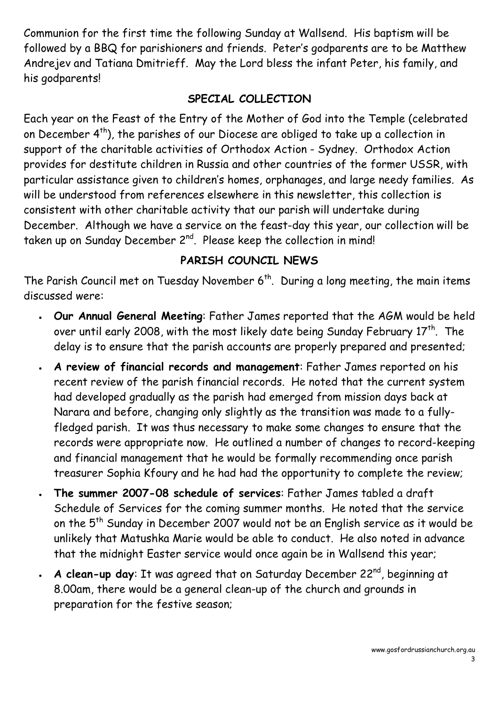Communion for the first time the following Sunday at Wallsend. His baptism will be followed by a BBQ for parishioners and friends. Peter's godparents are to be Matthew Andrejev and Tatiana Dmitrieff. May the Lord bless the infant Peter, his family, and his godparents!

#### **SPECIAL COLLECTION**

Each year on the Feast of the Entry of the Mother of God into the Temple (celebrated on December 4<sup>th</sup>), the parishes of our Diocese are obliged to take up a collection in support of the charitable activities of Orthodox Action - Sydney. Orthodox Action provides for destitute children in Russia and other countries of the former USSR, with particular assistance given to children's homes, orphanages, and large needy families. As will be understood from references elsewhere in this newsletter, this collection is consistent with other charitable activity that our parish will undertake during December. Although we have a service on the feast-day this year, our collection will be taken up on Sunday December 2<sup>nd</sup>. Please keep the collection in mind!

# **PARISH COUNCIL NEWS**

The Parish Council met on Tuesday November  $6<sup>th</sup>$ . During a long meeting, the main items discussed were:

- · **Our Annual General Meeting**: Father James reported that the AGM would be held over until early 2008, with the most likely date being Sunday February  $17<sup>th</sup>$ . The delay is to ensure that the parish accounts are properly prepared and presented;
- · **A review of financial records and management**: Father James reported on his recent review of the parish financial records. He noted that the current system had developed gradually as the parish had emerged from mission days back at Narara and before, changing only slightly as the transition was made to a fullyfledged parish. It was thus necessary to make some changes to ensure that the records were appropriate now. He outlined a number of changes to record-keeping and financial management that he would be formally recommending once parish treasurer Sophia Kfoury and he had had the opportunity to complete the review;
- · **The summer 2007-08 schedule of services**: Father James tabled a draft Schedule of Services for the coming summer months. He noted that the service on the 5<sup>th</sup> Sunday in December 2007 would not be an English service as it would be unlikely that Matushka Marie would be able to conduct. He also noted in advance that the midnight Easter service would once again be in Wallsend this year;
- $\,$  **A clean-up day**: It was agreed that on Saturday December 22<sup>nd</sup>, beginning at 8.00am, there would be a general clean-up of the church and grounds in preparation for the festive season;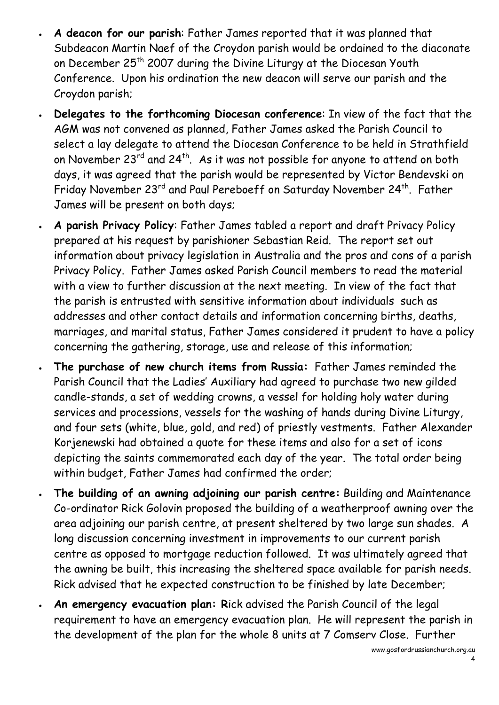- · **A deacon for our parish**: Father James reported that it was planned that Subdeacon Martin Naef of the Croydon parish would be ordained to the diaconate on December 25<sup>th</sup> 2007 during the Divine Liturgy at the Diocesan Youth Conference. Upon his ordination the new deacon will serve our parish and the Croydon parish;
- · **Delegates to the forthcoming Diocesan conference**: In view of the fact that the AGM was not convened as planned, Father James asked the Parish Council to select a lay delegate to attend the Diocesan Conference to be held in Strathfield on November 23 $^{rd}$  and 24<sup>th</sup>. As it was not possible for anyone to attend on both days, it was agreed that the parish would be represented by Victor Bendevski on Friday November 23<sup>rd</sup> and Paul Pereboeff on Saturday November 24<sup>th</sup>. Father James will be present on both days;
- · **A parish Privacy Policy**: Father James tabled a report and draft Privacy Policy prepared at his request by parishioner Sebastian Reid. The report set out information about privacy legislation in Australia and the pros and cons of a parish Privacy Policy. Father James asked Parish Council members to read the material with a view to further discussion at the next meeting. In view of the fact that the parish is entrusted with sensitive information about individuals such as addresses and other contact details and information concerning births, deaths, marriages, and marital status, Father James considered it prudent to have a policy concerning the gathering, storage, use and release of this information;
- · **The purchase of new church items from Russia:** Father James reminded the Parish Council that the Ladies' Auxiliary had agreed to purchase two new gilded candle-stands, a set of wedding crowns, a vessel for holding holy water during services and processions, vessels for the washing of hands during Divine Liturgy, and four sets (white, blue, gold, and red) of priestly vestments. Father Alexander Korjenewski had obtained a quote for these items and also for a set of icons depicting the saints commemorated each day of the year. The total order being within budget, Father James had confirmed the order;
- · **The building of an awning adjoining our parish centre:** Building and Maintenance Co-ordinator Rick Golovin proposed the building of a weatherproof awning over the area adjoining our parish centre, at present sheltered by two large sun shades. A long discussion concerning investment in improvements to our current parish centre as opposed to mortgage reduction followed. It was ultimately agreed that the awning be built, this increasing the sheltered space available for parish needs. Rick advised that he expected construction to be finished by late December;
- · **An emergency evacuation plan: R**ick advised the Parish Council of the legal requirement to have an emergency evacuation plan. He will represent the parish in the development of the plan for the whole 8 units at 7 Comserv Close. Further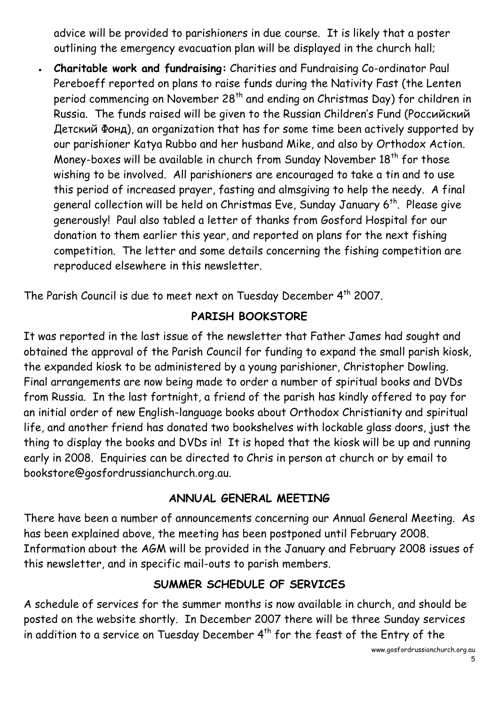advice will be provided to parishioners in due course. It is likely that a poster outlining the emergency evacuation plan will be displayed in the church hall;

· **Charitable work and fundraising:** Charities and Fundraising Co-ordinator Paul Pereboeff reported on plans to raise funds during the Nativity Fast (the Lenten period commencing on November 28<sup>th</sup> and ending on Christmas Day) for children in Russia. The funds raised will be given to the Russian Children's Fund (Российский Детский Фонд), an organization that has for some time been actively supported by our parishioner Katya Rubbo and her husband Mike, and also by Orthodox Action. Money-boxes will be available in church from Sunday November 18<sup>th</sup> for those wishing to be involved. All parishioners are encouraged to take a tin and to use this period of increased prayer, fasting and almsgiving to help the needy. A final general collection will be held on Christmas Eve, Sunday January  $6<sup>th</sup>$ . Please give generously! Paul also tabled a letter of thanks from Gosford Hospital for our donation to them earlier this year, and reported on plans for the next fishing competition. The letter and some details concerning the fishing competition are reproduced elsewhere in this newsletter.

The Parish Council is due to meet next on Tuesday December 4<sup>th</sup> 2007.

#### **PARISH BOOKSTORE**

It was reported in the last issue of the newsletter that Father James had sought and obtained the approval of the Parish Council for funding to expand the small parish kiosk, the expanded kiosk to be administered by a young parishioner, Christopher Dowling. Final arrangements are now being made to order a number of spiritual books and DVDs from Russia. In the last fortnight, a friend of the parish has kindly offered to pay for an initial order of new English-language books about Orthodox Christianity and spiritual life, and another friend has donated two bookshelves with lockable glass doors, just the thing to display the books and DVDs in! It is hoped that the kiosk will be up and running early in 2008. Enquiries can be directed to Chris in person at church or by email to bookstore@gosfordrussianchurch.org.au.

#### **ANNUAL GENERAL MEETING**

There have been a number of announcements concerning our Annual General Meeting. As has been explained above, the meeting has been postponed until February 2008. Information about the AGM will be provided in the January and February 2008 issues of this newsletter, and in specific mail-outs to parish members.

# **SUMMER SCHEDULE OF SERVICES**

A schedule of services for the summer months is now available in church, and should be posted on the website shortly. In December 2007 there will be three Sunday services in addition to a service on Tuesday December 4<sup>th</sup> for the feast of the Entry of the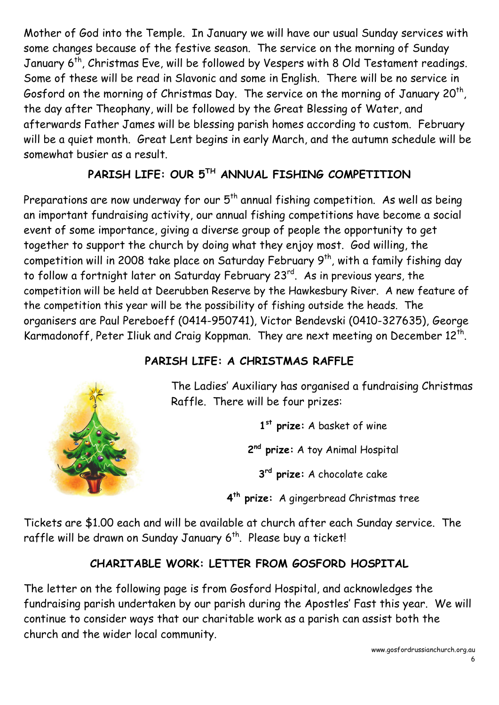Mother of God into the Temple. In January we will have our usual Sunday services with some changes because of the festive season. The service on the morning of Sunday January 6<sup>th</sup>, Christmas Eve, will be followed by Vespers with 8 Old Testament readings. Some of these will be read in Slavonic and some in English. There will be no service in Gosford on the morning of Christmas Day. The service on the morning of January 20<sup>th</sup>, the day after Theophany, will be followed by the Great Blessing of Water, and afterwards Father James will be blessing parish homes according to custom. February will be a quiet month. Great Lent begins in early March, and the autumn schedule will be somewhat busier as a result.

# **PARISH LIFE: OUR 5 TH ANNUAL FISHING COMPETITION**

Preparations are now underway for our  $5<sup>th</sup>$  annual fishing competition. As well as being an important fundraising activity, our annual fishing competitions have become a social event of some importance, giving a diverse group of people the opportunity to get together to support the church by doing what they enjoy most. God willing, the competition will in 2008 take place on Saturday February  $9<sup>th</sup>$ , with a family fishing day to follow a fortnight later on Saturday February 23<sup>rd</sup>. As in previous years, the competition will be held at Deerubben Reserve by the Hawkesbury River. A new feature of the competition this year will be the possibility of fishing outside the heads. The organisers are Paul Pereboeff (0414-950741), Victor Bendevski (0410-327635), George Karmadonoff, Peter Iliuk and Craig Koppman. They are next meeting on December 12<sup>th</sup>.

# **PARISH LIFE: A CHRISTMAS RAFFLE**

The Ladies' Auxiliary has organised a fundraising Christmas Raffle. There will be four prizes:

**1 st prize:** A basket of wine

**2 nd prize:** A toy Animal Hospital

**3 rd prize:** A chocolate cake

**4 th prize:** A gingerbread Christmas tree

Tickets are \$1.00 each and will be available at church after each Sunday service. The raffle will be drawn on Sunday January  $6<sup>th</sup>$ . Please buy a ticket!

# **CHARITABLE WORK: LETTER FROM GOSFORD HOSPITAL**

The letter on the following page is from Gosford Hospital, and acknowledges the fundraising parish undertaken by our parish during the Apostles' Fast this year. We will continue to consider ways that our charitable work as a parish can assist both the church and the wider local community.

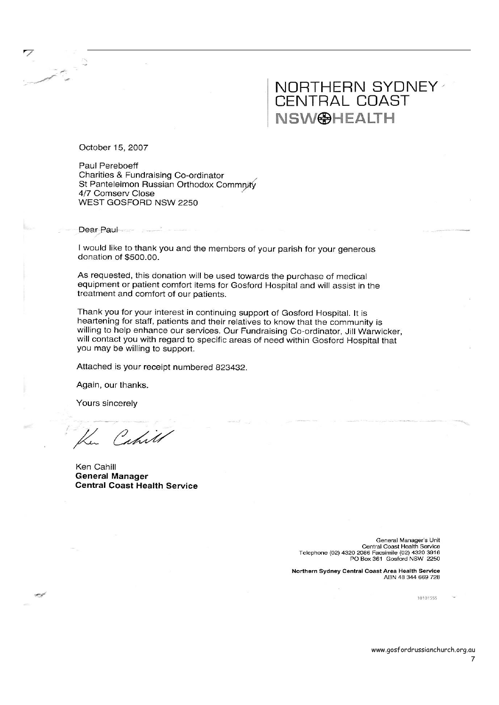### NORTHERN SYDNEY CENTRAL COAST **NSW@HEALTH**

October 15, 2007

Paul Pereboeff Charities & Fundraising Co-ordinator St Panteleimon Russian Orthodox Commnity 4/7 Comserv Close WEST GOSFORD NSW 2250

Dear Paul

I would like to thank you and the members of your parish for your generous donation of \$500.00.

As requested, this donation will be used towards the purchase of medical equipment or patient comfort items for Gosford Hospital and will assist in the treatment and comfort of our patients.

Thank you for your interest in continuing support of Gosford Hospital. It is heartening for staff, patients and their relatives to know that the community is willing to help enhance our services. Our Fundraising Co-ordinator, Jill Warwicker, will contact you with regard to specific areas of need within Gosford Hospital that you may be willing to support.

Attached is your receipt numbered 823432.

Again, our thanks.

Yours sincerely

**See 19** 

Ku Cahill

Ken Cahill **General Manager Central Coast Health Service** 

General Manager's Unit Central Coast Health Service<br>Telephone (02) 4320 2086 Facsimile (02) 4320 3916 PO Box 361 Gosford NSW 2250

Northern Sydney Central Coast Area Health Service ABN 48 344 669 728

10101555

7